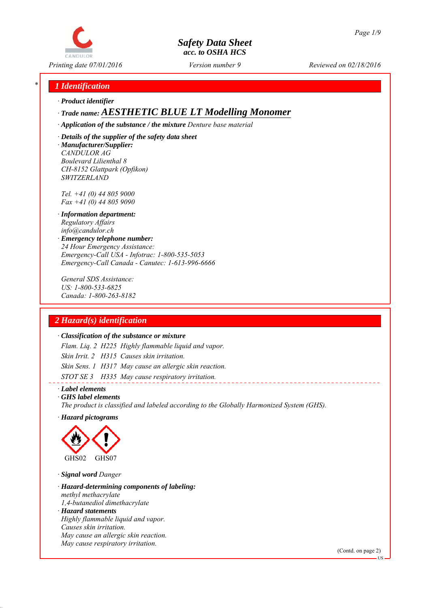

*Printing date 07/01/2016 Reviewed on 02/18/2016 Version number 9*

# *\* 1 Identification*

*∙ Product identifier*

# *∙ Trade name: AESTHETIC BLUE LT Modelling Monomer*

*∙ Application of the substance / the mixture Denture base material*

*∙ Details of the supplier of the safety data sheet ∙ Manufacturer/Supplier: CANDULOR AG Boulevard Lilienthal 8 CH-8152 Glattpark (Opfikon) SWITZERLAND*

*Tel. +41 (0) 44 805 9000 Fax +41 (0) 44 805 9090*

- *∙ Information department: Regulatory Affairs info@candulor.ch*
- *∙ Emergency telephone number: 24 Hour Emergency Assistance: Emergency-Call USA - Infotrac: 1-800-535-5053 Emergency-Call Canada - Canutec: 1-613-996-6666*

*General SDS Assistance: US: 1-800-533-6825 Canada: 1-800-263-8182*

# *2 Hazard(s) identification*

#### *∙ Classification of the substance or mixture*

*Flam. Liq. 2 H225 Highly flammable liquid and vapor. Skin Irrit. 2 H315 Causes skin irritation. Skin Sens. 1 H317 May cause an allergic skin reaction. STOT SE 3 H335 May cause respiratory irritation.*

*∙ Label elements*

*∙ GHS label elements*

*The product is classified and labeled according to the Globally Harmonized System (GHS).*

*∙ Hazard pictograms*



- *∙ Signal word Danger*
- *∙ Hazard-determining components of labeling: methyl methacrylate 1,4-butanediol dimethacrylate*
- *∙ Hazard statements Highly flammable liquid and vapor. Causes skin irritation. May cause an allergic skin reaction. May cause respiratory irritation.*

(Contd. on page 2)

US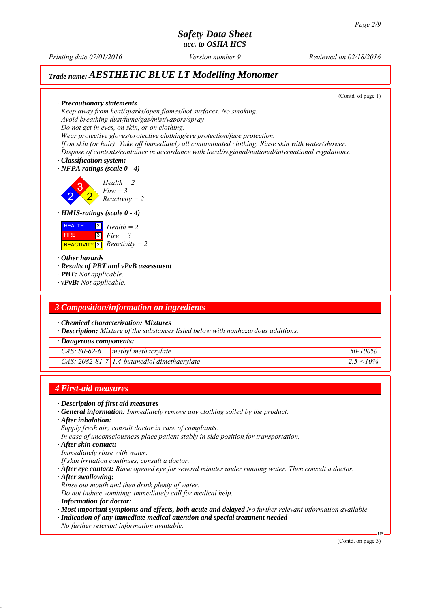*Printing date 07/01/2016 Reviewed on 02/18/2016 Version number 9*

# *Trade name: AESTHETIC BLUE LT Modelling Monomer*



#### *4 First-aid measures*

- *∙ Description of first aid measures*
- *∙ General information: Immediately remove any clothing soiled by the product.*
- *∙ After inhalation:*
- *Supply fresh air; consult doctor in case of complaints.*
- *In case of unconsciousness place patient stably in side position for transportation.*
- *∙ After skin contact:*
- *Immediately rinse with water.*
- *If skin irritation continues, consult a doctor.*
- *∙ After eye contact: Rinse opened eye for several minutes under running water. Then consult a doctor.*
- *∙ After swallowing:*
- *Rinse out mouth and then drink plenty of water.*
- *Do not induce vomiting; immediately call for medical help.*
- *∙ Information for doctor:*
- *∙ Most important symptoms and effects, both acute and delayed No further relevant information available.*
- *∙ Indication of any immediate medical attention and special treatment needed*
- *No further relevant information available.*

(Contd. on page 3)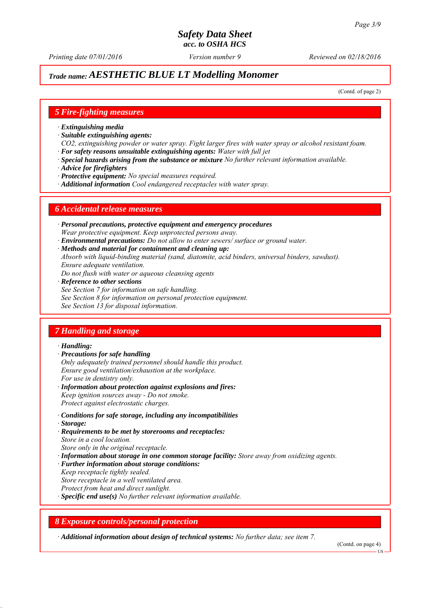# *Trade name: AESTHETIC BLUE LT Modelling Monomer*

(Contd. of page 2)

#### *5 Fire-fighting measures*

- *∙ Extinguishing media*
- *∙ Suitable extinguishing agents:*
- *CO2, extinguishing powder or water spray. Fight larger fires with water spray or alcohol resistant foam. ∙ For safety reasons unsuitable extinguishing agents: Water with full jet*
- *∙ Special hazards arising from the substance or mixture No further relevant information available.*
- *∙ Advice for firefighters*
- *∙ Protective equipment: No special measures required.*
- *∙ Additional information Cool endangered receptacles with water spray.*

#### *6 Accidental release measures*

- *∙ Personal precautions, protective equipment and emergency procedures Wear protective equipment. Keep unprotected persons away.*
- *∙ Environmental precautions: Do not allow to enter sewers/ surface or ground water.*
- *∙ Methods and material for containment and cleaning up:*
- *Absorb with liquid-binding material (sand, diatomite, acid binders, universal binders, sawdust). Ensure adequate ventilation.*
- *Do not flush with water or aqueous cleansing agents*
- *∙ Reference to other sections*
- *See Section 7 for information on safe handling.*
- *See Section 8 for information on personal protection equipment.*
- *See Section 13 for disposal information.*

# *7 Handling and storage*

#### *∙ Handling:*

- *∙ Precautions for safe handling*
- *Only adequately trained personnel should handle this product. Ensure good ventilation/exhaustion at the workplace. For use in dentistry only.*
- *∙ Information about protection against explosions and fires: Keep ignition sources away - Do not smoke. Protect against electrostatic charges.*
- *∙ Conditions for safe storage, including any incompatibilities*
- *∙ Storage:*
- *∙ Requirements to be met by storerooms and receptacles: Store in a cool location. Store only in the original receptacle.*
- *∙ Information about storage in one common storage facility: Store away from oxidizing agents.*
- *∙ Further information about storage conditions:*
- *Keep receptacle tightly sealed.*
- *Store receptacle in a well ventilated area.*
- *Protect from heat and direct sunlight.*
- *∙ Specific end use(s) No further relevant information available.*

#### *8 Exposure controls/personal protection*

*∙ Additional information about design of technical systems: No further data; see item 7.*

(Contd. on page 4)

**HS**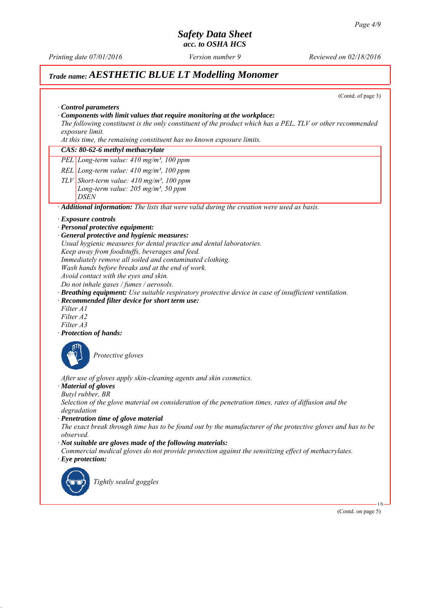*Printing date 07/01/2016 Reviewed on 02/18/2016 Version number 9*

# *Trade name: AESTHETIC BLUE LT Modelling Monomer*

(Contd. of page 3)

| Control parameters                                                                                                              |
|---------------------------------------------------------------------------------------------------------------------------------|
| Components with limit values that require monitoring at the workplace:                                                          |
| The following constituent is the only constituent of the product which has a PEL, TLV or other recommended<br>exposure limit.   |
| At this time, the remaining constituent has no known exposure limits.                                                           |
| CAS: 80-62-6 methyl methacrylate                                                                                                |
| PEL Long-term value: 410 mg/m <sup>3</sup> , 100 ppm                                                                            |
|                                                                                                                                 |
| REL Long-term value: $410$ mg/m <sup>3</sup> , 100 ppm                                                                          |
| $TLV$ Short-term value: 410 mg/m <sup>3</sup> , 100 ppm                                                                         |
| Long-term value: $205$ mg/m <sup>3</sup> , 50 ppm<br>DSEN                                                                       |
| Additional information: The lists that were valid during the creation were used as basis.                                       |
| $\cdot$ Exposure controls                                                                                                       |
| · Personal protective equipment:                                                                                                |
| · General protective and hygienic measures:                                                                                     |
| Usual hygienic measures for dental practice and dental laboratories.                                                            |
| Keep away from foodstuffs, beverages and feed.                                                                                  |
| Immediately remove all soiled and contaminated clothing.                                                                        |
| Wash hands before breaks and at the end of work.                                                                                |
| Avoid contact with the eyes and skin.<br>Do not inhale gases / fumes / aerosols.                                                |
| Breathing equipment: Use suitable respiratory protective device in case of insufficient ventilation.                            |
| · Recommended filter device for short term use:                                                                                 |
| Filter A1                                                                                                                       |
| Filter A2                                                                                                                       |
| Filter A3                                                                                                                       |
| · Protection of hands:                                                                                                          |
|                                                                                                                                 |
| Protective gloves                                                                                                               |
|                                                                                                                                 |
| After use of gloves apply skin-cleaning agents and skin cosmetics.                                                              |
| · Material of gloves                                                                                                            |
| Butyl rubber, BR<br>Selection of the glove material on consideration of the penetration times, rates of diffusion and the       |
| degradation                                                                                                                     |
| · Penetration time of glove material                                                                                            |
| The exact break through time has to be found out by the manufacturer of the protective gloves and has to be                     |
| observed.                                                                                                                       |
| $\cdot$ Not suitable are gloves made of the following materials:                                                                |
| Commercial medical gloves do not provide protection against the sensitizing effect of methacrylates.<br>$\cdot$ Eye protection: |
|                                                                                                                                 |
|                                                                                                                                 |
| Tightly sealed goggles                                                                                                          |
|                                                                                                                                 |
| $US -$                                                                                                                          |
| (Contd. on page 5)                                                                                                              |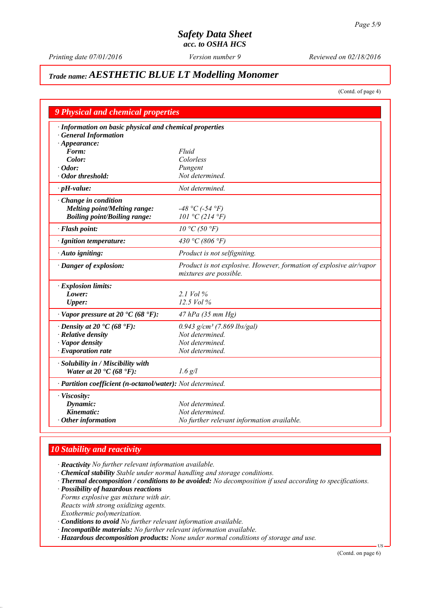*Printing date 07/01/2016 Reviewed on 02/18/2016 Version number 9*

# *Trade name: AESTHETIC BLUE LT Modelling Monomer*

(Contd. of page 4)

| 9 Physical and chemical properties                         |                                                                                               |
|------------------------------------------------------------|-----------------------------------------------------------------------------------------------|
| · Information on basic physical and chemical properties    |                                                                                               |
| <b>General Information</b>                                 |                                                                                               |
| $\cdot$ Appearance:                                        |                                                                                               |
| Form:                                                      | Fluid                                                                                         |
| Color:                                                     | Colorless                                                                                     |
| · Odor:                                                    | Pungent                                                                                       |
| · Odor threshold:                                          | Not determined.                                                                               |
| $\cdot$ pH-value:                                          | Not determined.                                                                               |
| $\cdot$ Change in condition                                |                                                                                               |
| <b>Melting point/Melting range:</b>                        | $-48 °C$ (-54 °F)                                                                             |
| <b>Boiling point/Boiling range:</b>                        | 101 °C (214 °F)                                                                               |
| · Flash point:                                             | $10 \degree C$ (50 $\degree F$ )                                                              |
| · Ignition temperature:                                    | 430 °C (806 °F)                                                                               |
| · Auto igniting:                                           | Product is not selfigniting.                                                                  |
| · Danger of explosion:                                     | Product is not explosive. However, formation of explosive air/vapor<br>mixtures are possible. |
| · Explosion limits:                                        |                                                                                               |
| Lower:                                                     | 2.1 Vol $\%$                                                                                  |
| <b>Upper:</b>                                              | 12.5 Vol %                                                                                    |
| $\cdot$ Vapor pressure at 20 $\cdot$ C (68 $\cdot$ F):     | 47 hPa (35 mm Hg)                                                                             |
| $\cdot$ Density at 20 $\cdot$ C (68 $\cdot$ F):            | $0.943$ g/cm <sup>3</sup> (7.869 lbs/gal)                                                     |
| · Relative density                                         | Not determined.                                                                               |
| · Vapor density                                            | Not determined.                                                                               |
| $\cdot$ Evaporation rate                                   | Not determined.                                                                               |
| · Solubility in / Miscibility with                         |                                                                                               |
| Water at 20 $\textdegree$ C (68 $\textdegree$ F):          | $1.6$ g/l                                                                                     |
| · Partition coefficient (n-octanol/water): Not determined. |                                                                                               |
| · Viscosity:                                               |                                                                                               |
| Dynamic:                                                   | Not determined.                                                                               |
| Kinematic:                                                 | Not determined.                                                                               |
| $\cdot$ Other information                                  | No further relevant information available.                                                    |

# *10 Stability and reactivity*

*∙ Reactivity No further relevant information available.*

- *∙ Chemical stability Stable under normal handling and storage conditions.*
- *∙ Thermal decomposition / conditions to be avoided: No decomposition if used according to specifications.*
- *∙ Possibility of hazardous reactions*

*Forms explosive gas mixture with air.*

*Reacts with strong oxidizing agents.*

*Exothermic polymerization.*

- *∙ Conditions to avoid No further relevant information available.*
- *∙ Incompatible materials: No further relevant information available.*
- *∙ Hazardous decomposition products: None under normal conditions of storage and use.*

(Contd. on page 6)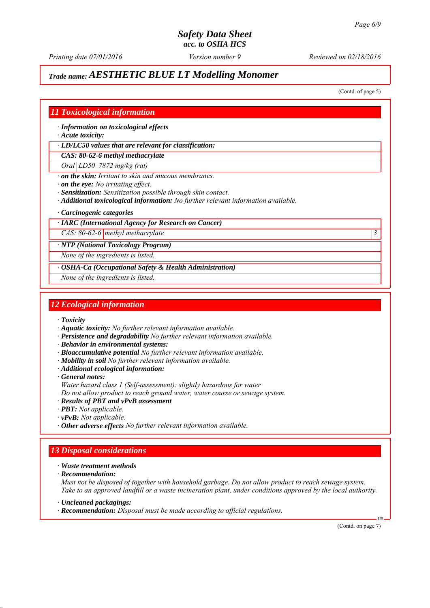*Printing date 07/01/2016 Reviewed on 02/18/2016 Version number 9*

# *Trade name: AESTHETIC BLUE LT Modelling Monomer*

(Contd. of page 5)

### *11 Toxicological information*

*∙ Information on toxicological effects*

*∙ Acute toxicity:*

*∙ LD/LC50 values that are relevant for classification:*

*CAS: 80-62-6 methyl methacrylate*

*Oral LD50 7872 mg/kg (rat)*

*∙ on the skin: Irritant to skin and mucous membranes.*

*∙ on the eye: No irritating effect.*

*∙ Sensitization: Sensitization possible through skin contact.*

- *∙ Additional toxicological information: No further relevant information available.*
- *∙ Carcinogenic categories*

#### *∙ IARC (International Agency for Research on Cancer)*

*CAS: 80-62-6 methyl methacrylate 3* 

*∙ NTP (National Toxicology Program)*

*None of the ingredients is listed.*

*∙ OSHA-Ca (Occupational Safety & Health Administration)*

*None of the ingredients is listed.*

#### *12 Ecological information*

*∙ Toxicity*

- *∙ Aquatic toxicity: No further relevant information available.*
- *∙ Persistence and degradability No further relevant information available.*
- *∙ Behavior in environmental systems:*
- *∙ Bioaccumulative potential No further relevant information available.*
- *∙ Mobility in soil No further relevant information available.*
- *∙ Additional ecological information:*
- *∙ General notes:*
- *Water hazard class 1 (Self-assessment): slightly hazardous for water*
- *Do not allow product to reach ground water, water course or sewage system.*
- *∙ Results of PBT and vPvB assessment*
- *∙ PBT: Not applicable.*
- *∙ vPvB: Not applicable.*
- *∙ Other adverse effects No further relevant information available.*

# *13 Disposal considerations*

- *∙ Waste treatment methods*
- *∙ Recommendation:*

*Must not be disposed of together with household garbage. Do not allow product to reach sewage system. Take to an approved landfill or a waste incineration plant, under conditions approved by the local authority.*

- *∙ Uncleaned packagings:*
- *∙ Recommendation: Disposal must be made according to official regulations.*

(Contd. on page 7)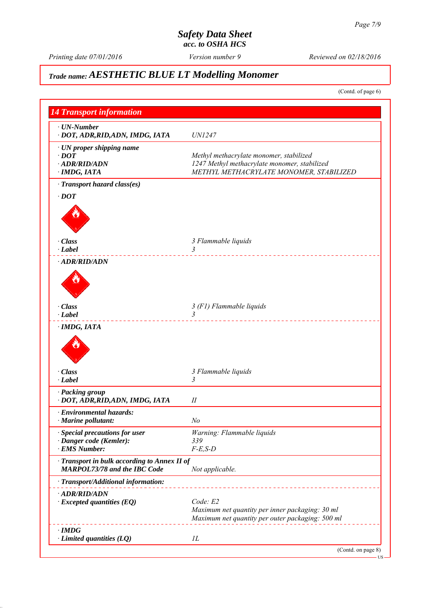*Printing date 07/01/2016 Reviewed on 02/18/2016 Version number 9*

# *Trade name: AESTHETIC BLUE LT Modelling Monomer*

(Contd. of page 6)

| <b>14 Transport information</b>                 |                                                                                                     |  |
|-------------------------------------------------|-----------------------------------------------------------------------------------------------------|--|
| $\cdot$ UN-Number                               |                                                                                                     |  |
| · DOT, ADR, RID, ADN, IMDG, IATA                | <i>UN1247</i>                                                                                       |  |
| · UN proper shipping name                       |                                                                                                     |  |
| $\cdot$ DOT                                     | Methyl methacrylate monomer, stabilized                                                             |  |
| · ADR/RID/ADN                                   | 1247 Methyl methacrylate monomer, stabilized                                                        |  |
| · IMDG, IATA                                    | METHYL METHACRYLATE MONOMER, STABILIZED                                                             |  |
| · Transport hazard class(es)                    |                                                                                                     |  |
| $\cdot$ DOT                                     |                                                                                                     |  |
|                                                 |                                                                                                     |  |
|                                                 |                                                                                                     |  |
|                                                 |                                                                                                     |  |
|                                                 |                                                                                                     |  |
| · Class                                         | 3 Flammable liquids                                                                                 |  |
| $\cdot$ Label                                   | 3                                                                                                   |  |
| · ADR/RID/ADN                                   |                                                                                                     |  |
|                                                 |                                                                                                     |  |
|                                                 |                                                                                                     |  |
|                                                 |                                                                                                     |  |
|                                                 |                                                                                                     |  |
| $\cdot$ Class<br>$\cdot$ Label                  | 3 (F1) Flammable liquids<br>$\overline{3}$                                                          |  |
|                                                 |                                                                                                     |  |
| · IMDG, IATA                                    |                                                                                                     |  |
|                                                 |                                                                                                     |  |
|                                                 |                                                                                                     |  |
|                                                 |                                                                                                     |  |
| · Class                                         | 3 Flammable liquids                                                                                 |  |
| $\cdot$ Label                                   | 3                                                                                                   |  |
| · Packing group                                 |                                                                                                     |  |
| · DOT, ADR, RID, ADN, IMDG, IATA                | П                                                                                                   |  |
| · Environmental hazards:                        |                                                                                                     |  |
| <b>Marine pollutant:</b>                        | No                                                                                                  |  |
| $\cdot$ Special precautions for user            | Warning: Flammable liquids                                                                          |  |
| · Danger code (Kemler):                         | 339                                                                                                 |  |
| · EMS Number:                                   | $F-E$ , $S-D$                                                                                       |  |
| · Transport in bulk according to Annex II of    |                                                                                                     |  |
| <b>MARPOL73/78 and the IBC Code</b>             | Not applicable.                                                                                     |  |
| · Transport/Additional information:             |                                                                                                     |  |
|                                                 |                                                                                                     |  |
| · ADR/RID/ADN                                   | Code: E2                                                                                            |  |
| $\cdot$ Excepted quantities (EQ)                |                                                                                                     |  |
|                                                 | Maximum net quantity per inner packaging: 30 ml<br>Maximum net quantity per outer packaging: 500 ml |  |
|                                                 |                                                                                                     |  |
|                                                 |                                                                                                     |  |
| $\cdot$ IMDG<br>$\cdot$ Limited quantities (LQ) | IL                                                                                                  |  |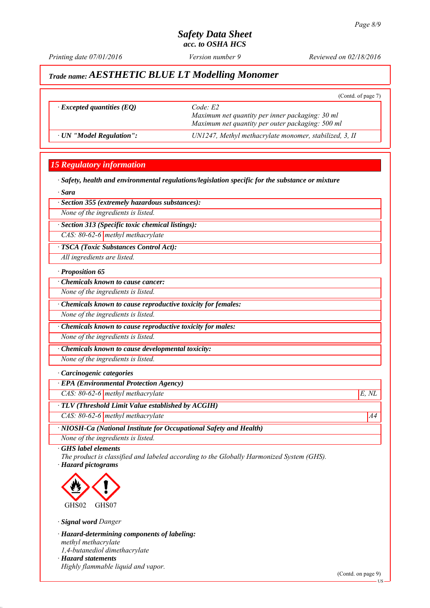*Printing date 07/01/2016 Reviewed on 02/18/2016 Version number 9*

(Contd. of page 7)

# *Trade name: AESTHETIC BLUE LT Modelling Monomer*

|  | <i>Excepted quantities (EQ)</i> |  |
|--|---------------------------------|--|
|--|---------------------------------|--|

 $Code: E2$ *Maximum net quantity per inner packaging: 30 ml Maximum net quantity per outer packaging: 500 ml ∙ UN "Model Regulation": UN1247, Methyl methacrylate monomer, stabilized, 3, II*

# *15 Regulatory information*

*∙ Safety, health and environmental regulations/legislation specific for the substance or mixture*

*∙ Sara*

#### *∙ Section 355 (extremely hazardous substances):*

*None of the ingredients is listed.*

*∙ Section 313 (Specific toxic chemical listings):*

*CAS: 80-62-6 methyl methacrylate*

*∙ TSCA (Toxic Substances Control Act):*

*All ingredients are listed.*

#### *∙ Proposition 65*

*∙ Chemicals known to cause cancer:*

*None of the ingredients is listed.*

*∙ Chemicals known to cause reproductive toxicity for females:*

*None of the ingredients is listed.*

*∙ Chemicals known to cause reproductive toxicity for males:*

*None of the ingredients is listed.*

*∙ Chemicals known to cause developmental toxicity:*

*None of the ingredients is listed.*

#### *∙ Carcinogenic categories*

*∙ EPA (Environmental Protection Agency)*

*CAS: 80-62-6 methyl methacrylate E, NL*

*∙ TLV (Threshold Limit Value established by ACGIH)*

*CAS: 80-62-6 methyl methacrylate* A4<sup>4</sup>

*∙ NIOSH-Ca (National Institute for Occupational Safety and Health)*

*None of the ingredients is listed.*

*∙ GHS label elements*

*The product is classified and labeled according to the Globally Harmonized System (GHS). ∙ Hazard pictograms*



*∙ Signal word Danger*

*∙ Hazard-determining components of labeling: methyl methacrylate 1,4-butanediol dimethacrylate ∙ Hazard statements*

*Highly flammable liquid and vapor.*

(Contd. on page 9)